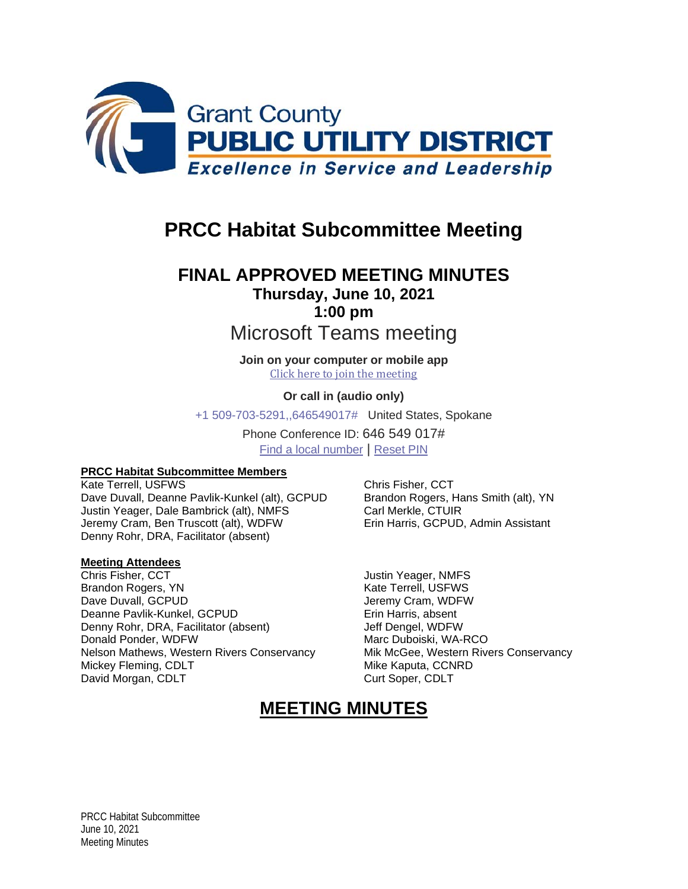

## **PRCC Habitat Subcommittee Meeting**

### **FINAL APPROVED MEETING MINUTES Thursday, June 10, 2021 1:00 pm**

Microsoft Teams meeting

**Join on your computer or mobile app** [Click here to join the meeting](https://teams.microsoft.com/l/meetup-join/19%3ameeting_ZTRkODc0MGItM2M1YS00OWJmLWE2NzktOWI3ZGFiN2EzZTU4%40thread.v2/0?context=%7b%22Tid%22%3a%22023cc3f1-0988-4757-846f-493f0d084a7d%22%2c%22Oid%22%3a%22f50c38a0-2bc0-4082-a3ed-11b2b42c5135%22%7d)

**Or call in (audio only)** +1 509-703-5291,,646549017# United States, Spokane Phone Conference ID: 646 549 017# [Find a local number](https://dialin.teams.microsoft.com/32763fa9-5bd4-4e78-93ba-11c7026c4835?id=646549017) | [Reset PIN](https://mysettings.lync.com/pstnconferencing)

#### **PRCC Habitat Subcommittee Members**

Kate Terrell, USFWS Chris Fisher, CCT Dave Duvall, Deanne Pavlik-Kunkel (alt), GCPUD Brandon Rogers, Hans Smith (alt), YN<br>Justin Yeager, Dale Bambrick (alt), NMFS Carl Merkle, CTUIR Justin Yeager, Dale Bambrick (alt), NMFS Jeremy Cram, Ben Truscott (alt), WDFW Erin Harris, GCPUD, Admin Assistant Denny Rohr, DRA, Facilitator (absent)

# **Meeting Attendees**

Chris Fisher, CCT Justin Yeager, NMFS Dave Duvall, GCPUD **Dave Duvall**, example the state of the state of the state of the state of the state of the state of the state of the state of the state of the state of the state of the state of the state of the state o Deanne Pavlik-Kunkel, GCPUD Erin Harris, absent Denny Rohr, DRA, Facilitator (absent) Jeff Dengel, WDFW Donald Ponder, WDFW Marc Duboiski, WA-RCO Nelson Mathews, Western Rivers Conservancy Mik McGee, Western Rivers Conservancy<br>Mickey Fleming, CDLT Mickey Fleming, CDLT Mickey Fleming, CDLT Mickey Fleming, CDLT Mike Kaputa, CCN<br>David Morgan, CDLT Mickey Morgan, COLT Curt Soper, CDLT David Morgan, CDLT

Kate Terrell, USFWS

### **MEETING MINUTES**

PRCC Habitat Subcommittee June 10, 2021 Meeting Minutes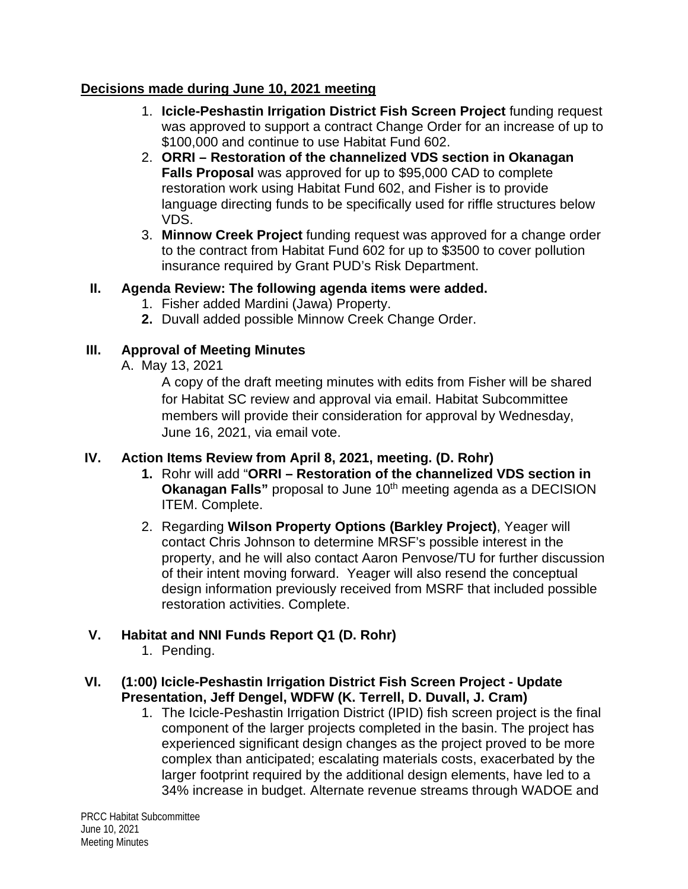#### **Decisions made during June 10, 2021 meeting**

- 1. **Icicle-Peshastin Irrigation District Fish Screen Project** funding request was approved to support a contract Change Order for an increase of up to \$100,000 and continue to use Habitat Fund 602.
- 2. **ORRI – Restoration of the channelized VDS section in Okanagan Falls Proposal** was approved for up to \$95,000 CAD to complete restoration work using Habitat Fund 602, and Fisher is to provide language directing funds to be specifically used for riffle structures below VDS.
- 3. **Minnow Creek Project** funding request was approved for a change order to the contract from Habitat Fund 602 for up to \$3500 to cover pollution insurance required by Grant PUD's Risk Department.

#### **II. Agenda Review: The following agenda items were added.**

- 1. Fisher added Mardini (Jawa) Property.
- **2.** Duvall added possible Minnow Creek Change Order.

#### **III. Approval of Meeting Minutes**

A. May 13, 2021

A copy of the draft meeting minutes with edits from Fisher will be shared for Habitat SC review and approval via email. Habitat Subcommittee members will provide their consideration for approval by Wednesday, June 16, 2021, via email vote.

#### **IV. Action Items Review from April 8, 2021, meeting. (D. Rohr)**

- **1.** Rohr will add "**ORRI – Restoration of the channelized VDS section in Okanagan Falls**" proposal to June 10<sup>th</sup> meeting agenda as a DECISION ITEM. Complete.
- 2. Regarding **Wilson Property Options (Barkley Project)**, Yeager will contact Chris Johnson to determine MRSF's possible interest in the property, and he will also contact Aaron Penvose/TU for further discussion of their intent moving forward. Yeager will also resend the conceptual design information previously received from MSRF that included possible restoration activities. Complete.

#### **V. Habitat and NNI Funds Report Q1 (D. Rohr)**

1. Pending.

#### **VI. (1:00) Icicle-Peshastin Irrigation District Fish Screen Project - Update Presentation, Jeff Dengel, WDFW (K. Terrell, D. Duvall, J. Cram)**

1. The Icicle-Peshastin Irrigation District (IPID) fish screen project is the final component of the larger projects completed in the basin. The project has experienced significant design changes as the project proved to be more complex than anticipated; escalating materials costs, exacerbated by the larger footprint required by the additional design elements, have led to a 34% increase in budget. Alternate revenue streams through WADOE and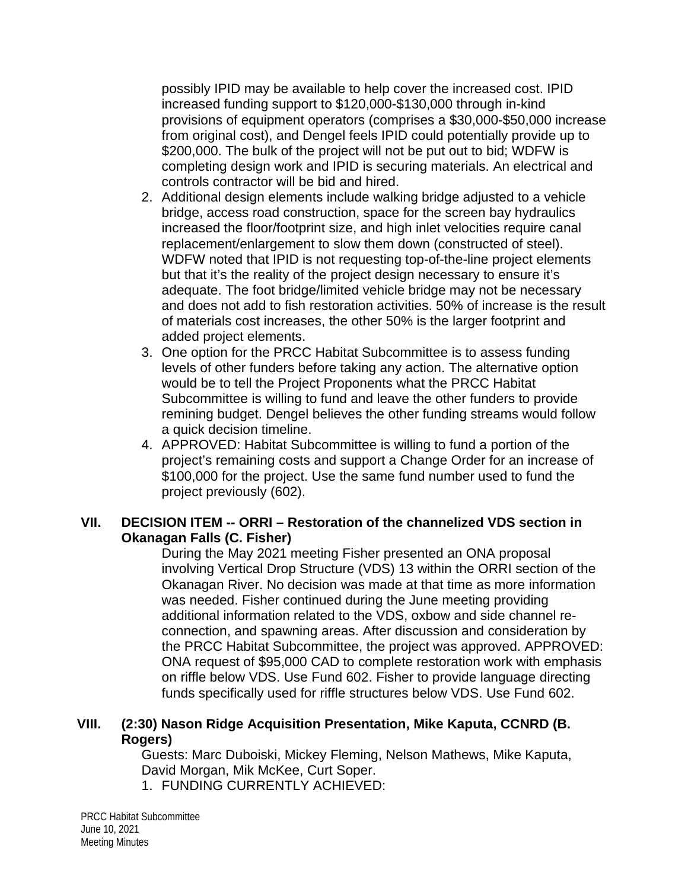possibly IPID may be available to help cover the increased cost. IPID increased funding support to \$120,000-\$130,000 through in-kind provisions of equipment operators (comprises a \$30,000-\$50,000 increase from original cost), and Dengel feels IPID could potentially provide up to \$200,000. The bulk of the project will not be put out to bid; WDFW is completing design work and IPID is securing materials. An electrical and controls contractor will be bid and hired.

- 2. Additional design elements include walking bridge adjusted to a vehicle bridge, access road construction, space for the screen bay hydraulics increased the floor/footprint size, and high inlet velocities require canal replacement/enlargement to slow them down (constructed of steel). WDFW noted that IPID is not requesting top-of-the-line project elements but that it's the reality of the project design necessary to ensure it's adequate. The foot bridge/limited vehicle bridge may not be necessary and does not add to fish restoration activities. 50% of increase is the result of materials cost increases, the other 50% is the larger footprint and added project elements.
- 3. One option for the PRCC Habitat Subcommittee is to assess funding levels of other funders before taking any action. The alternative option would be to tell the Project Proponents what the PRCC Habitat Subcommittee is willing to fund and leave the other funders to provide remining budget. Dengel believes the other funding streams would follow a quick decision timeline.
- 4. APPROVED: Habitat Subcommittee is willing to fund a portion of the project's remaining costs and support a Change Order for an increase of \$100,000 for the project. Use the same fund number used to fund the project previously (602).

#### **VII. DECISION ITEM -- ORRI – Restoration of the channelized VDS section in Okanagan Falls (C. Fisher)**

During the May 2021 meeting Fisher presented an ONA proposal involving Vertical Drop Structure (VDS) 13 within the ORRI section of the Okanagan River. No decision was made at that time as more information was needed. Fisher continued during the June meeting providing additional information related to the VDS, oxbow and side channel reconnection, and spawning areas. After discussion and consideration by the PRCC Habitat Subcommittee, the project was approved. APPROVED: ONA request of \$95,000 CAD to complete restoration work with emphasis on riffle below VDS. Use Fund 602. Fisher to provide language directing funds specifically used for riffle structures below VDS. Use Fund 602.

#### **VIII. (2:30) Nason Ridge Acquisition Presentation, Mike Kaputa, CCNRD (B. Rogers)**

Guests: Marc Duboiski, Mickey Fleming, Nelson Mathews, Mike Kaputa, David Morgan, Mik McKee, Curt Soper.

1. FUNDING CURRENTLY ACHIEVED: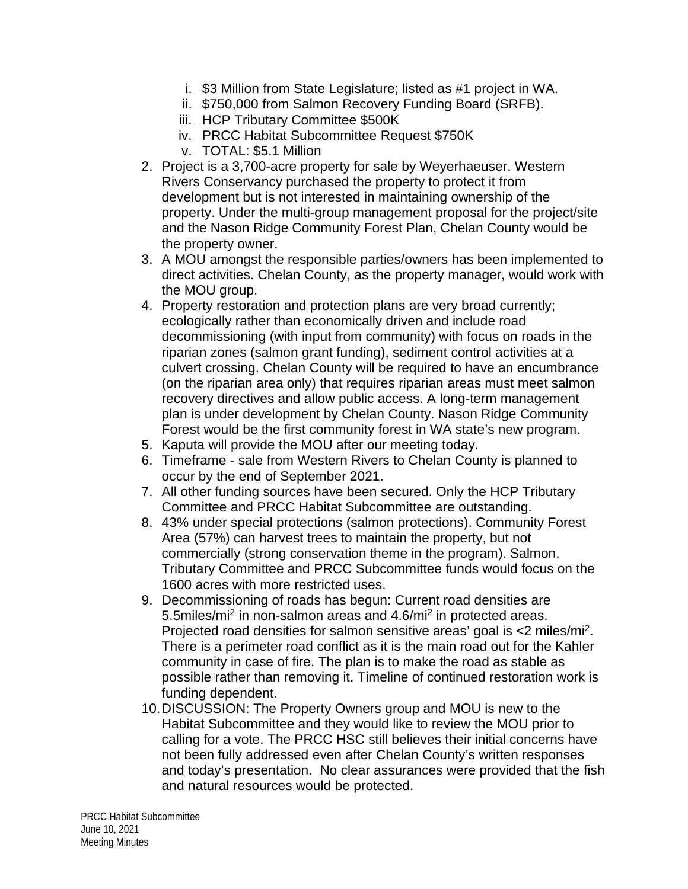- i. \$3 Million from State Legislature; listed as #1 project in WA.
- ii. \$750,000 from Salmon Recovery Funding Board (SRFB).
- iii. HCP Tributary Committee \$500K
- iv. PRCC Habitat Subcommittee Request \$750K
- v. TOTAL: \$5.1 Million
- 2. Project is a 3,700-acre property for sale by Weyerhaeuser. Western Rivers Conservancy purchased the property to protect it from development but is not interested in maintaining ownership of the property. Under the multi-group management proposal for the project/site and the Nason Ridge Community Forest Plan, Chelan County would be the property owner.
- 3. A MOU amongst the responsible parties/owners has been implemented to direct activities. Chelan County, as the property manager, would work with the MOU group.
- 4. Property restoration and protection plans are very broad currently; ecologically rather than economically driven and include road decommissioning (with input from community) with focus on roads in the riparian zones (salmon grant funding), sediment control activities at a culvert crossing. Chelan County will be required to have an encumbrance (on the riparian area only) that requires riparian areas must meet salmon recovery directives and allow public access. A long-term management plan is under development by Chelan County. Nason Ridge Community Forest would be the first community forest in WA state's new program.
- 5. Kaputa will provide the MOU after our meeting today.
- 6. Timeframe sale from Western Rivers to Chelan County is planned to occur by the end of September 2021.
- 7. All other funding sources have been secured. Only the HCP Tributary Committee and PRCC Habitat Subcommittee are outstanding.
- 8. 43% under special protections (salmon protections). Community Forest Area (57%) can harvest trees to maintain the property, but not commercially (strong conservation theme in the program). Salmon, Tributary Committee and PRCC Subcommittee funds would focus on the 1600 acres with more restricted uses.
- 9. Decommissioning of roads has begun: Current road densities are 5.5miles/mi2 in non-salmon areas and 4.6/mi2 in protected areas. Projected road densities for salmon sensitive areas' goal is <2 miles/mi2. There is a perimeter road conflict as it is the main road out for the Kahler community in case of fire. The plan is to make the road as stable as possible rather than removing it. Timeline of continued restoration work is funding dependent.
- 10.DISCUSSION: The Property Owners group and MOU is new to the Habitat Subcommittee and they would like to review the MOU prior to calling for a vote. The PRCC HSC still believes their initial concerns have not been fully addressed even after Chelan County's written responses and today's presentation. No clear assurances were provided that the fish and natural resources would be protected.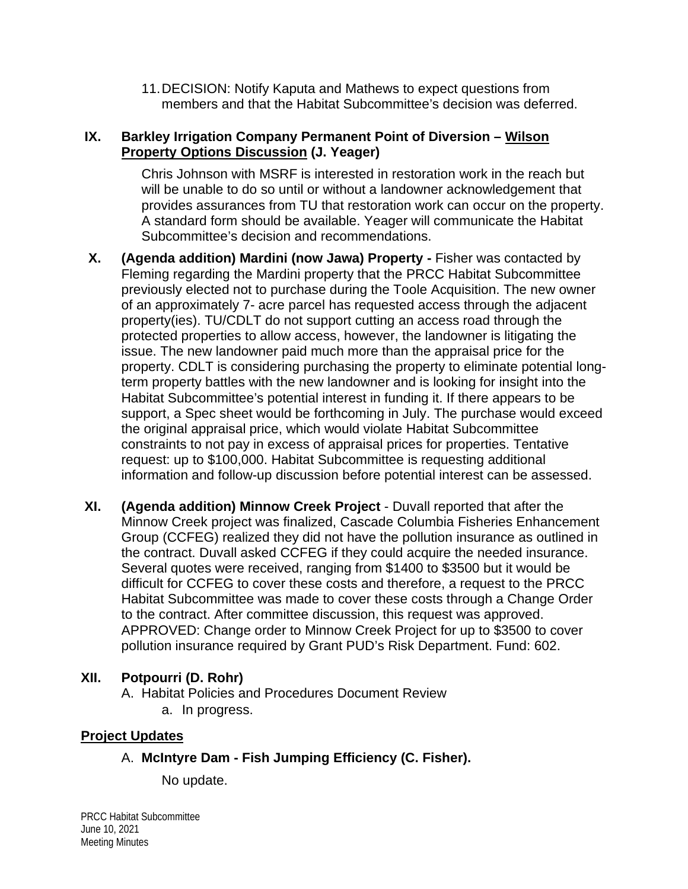11.DECISION: Notify Kaputa and Mathews to expect questions from members and that the Habitat Subcommittee's decision was deferred.

#### **IX. Barkley Irrigation Company Permanent Point of Diversion – Wilson Property Options Discussion (J. Yeager)**

Chris Johnson with MSRF is interested in restoration work in the reach but will be unable to do so until or without a landowner acknowledgement that provides assurances from TU that restoration work can occur on the property. A standard form should be available. Yeager will communicate the Habitat Subcommittee's decision and recommendations.

- **X. (Agenda addition) Mardini (now Jawa) Property -** Fisher was contacted by Fleming regarding the Mardini property that the PRCC Habitat Subcommittee previously elected not to purchase during the Toole Acquisition. The new owner of an approximately 7- acre parcel has requested access through the adjacent property(ies). TU/CDLT do not support cutting an access road through the protected properties to allow access, however, the landowner is litigating the issue. The new landowner paid much more than the appraisal price for the property. CDLT is considering purchasing the property to eliminate potential longterm property battles with the new landowner and is looking for insight into the Habitat Subcommittee's potential interest in funding it. If there appears to be support, a Spec sheet would be forthcoming in July. The purchase would exceed the original appraisal price, which would violate Habitat Subcommittee constraints to not pay in excess of appraisal prices for properties. Tentative request: up to \$100,000. Habitat Subcommittee is requesting additional information and follow-up discussion before potential interest can be assessed.
- **XI. (Agenda addition) Minnow Creek Project** Duvall reported that after the Minnow Creek project was finalized, Cascade Columbia Fisheries Enhancement Group (CCFEG) realized they did not have the pollution insurance as outlined in the contract. Duvall asked CCFEG if they could acquire the needed insurance. Several quotes were received, ranging from \$1400 to \$3500 but it would be difficult for CCFEG to cover these costs and therefore, a request to the PRCC Habitat Subcommittee was made to cover these costs through a Change Order to the contract. After committee discussion, this request was approved. APPROVED: Change order to Minnow Creek Project for up to \$3500 to cover pollution insurance required by Grant PUD's Risk Department. Fund: 602.

#### **XII. Potpourri (D. Rohr)**

A. Habitat Policies and Procedures Document Review a. In progress.

#### **Project Updates**

A. **McIntyre Dam - Fish Jumping Efficiency (C. Fisher).**

No update.

PRCC Habitat Subcommittee June 10, 2021 Meeting Minutes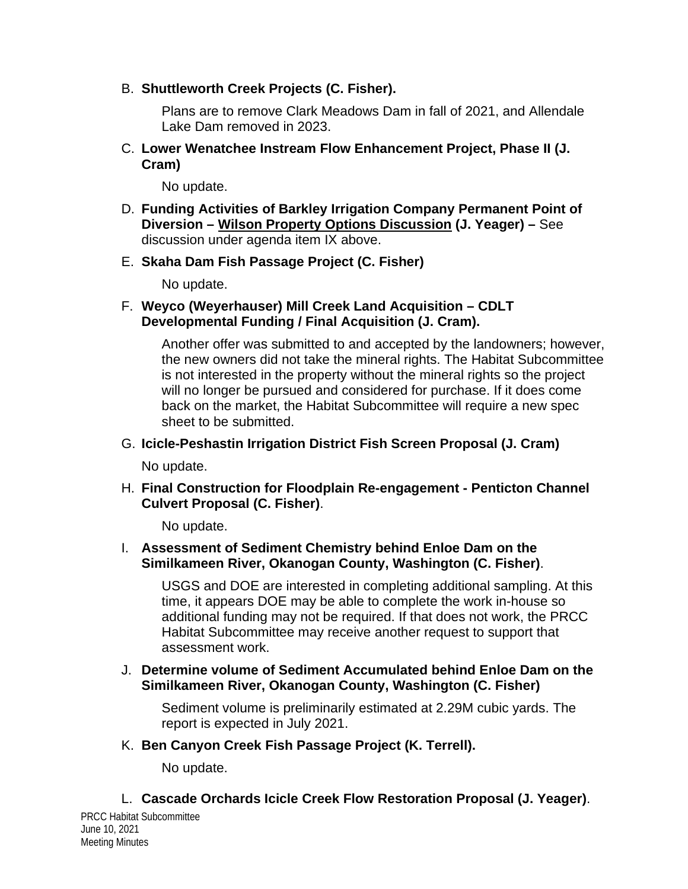B. **Shuttleworth Creek Projects (C. Fisher).**

Plans are to remove Clark Meadows Dam in fall of 2021, and Allendale Lake Dam removed in 2023.

C. **Lower Wenatchee Instream Flow Enhancement Project, Phase II (J. Cram)**

No update.

- D. **Funding Activities of Barkley Irrigation Company Permanent Point of Diversion – Wilson Property Options Discussion (J. Yeager) –** See discussion under agenda item IX above.
- E. **Skaha Dam Fish Passage Project (C. Fisher)**

No update.

F. **Weyco (Weyerhauser) Mill Creek Land Acquisition – CDLT Developmental Funding / Final Acquisition (J. Cram).** 

> Another offer was submitted to and accepted by the landowners; however, the new owners did not take the mineral rights. The Habitat Subcommittee is not interested in the property without the mineral rights so the project will no longer be pursued and considered for purchase. If it does come back on the market, the Habitat Subcommittee will require a new spec sheet to be submitted.

G. **Icicle-Peshastin Irrigation District Fish Screen Proposal (J. Cram)**

No update.

H. **Final Construction for Floodplain Re-engagement - Penticton Channel Culvert Proposal (C. Fisher)**.

No update.

I. **Assessment of Sediment Chemistry behind Enloe Dam on the Similkameen River, Okanogan County, Washington (C. Fisher)**.

USGS and DOE are interested in completing additional sampling. At this time, it appears DOE may be able to complete the work in-house so additional funding may not be required. If that does not work, the PRCC Habitat Subcommittee may receive another request to support that assessment work.

J. **Determine volume of Sediment Accumulated behind Enloe Dam on the Similkameen River, Okanogan County, Washington (C. Fisher)**

Sediment volume is preliminarily estimated at 2.29M cubic yards. The report is expected in July 2021.

K. **Ben Canyon Creek Fish Passage Project (K. Terrell).** 

No update.

L. **Cascade Orchards Icicle Creek Flow Restoration Proposal (J. Yeager)**.